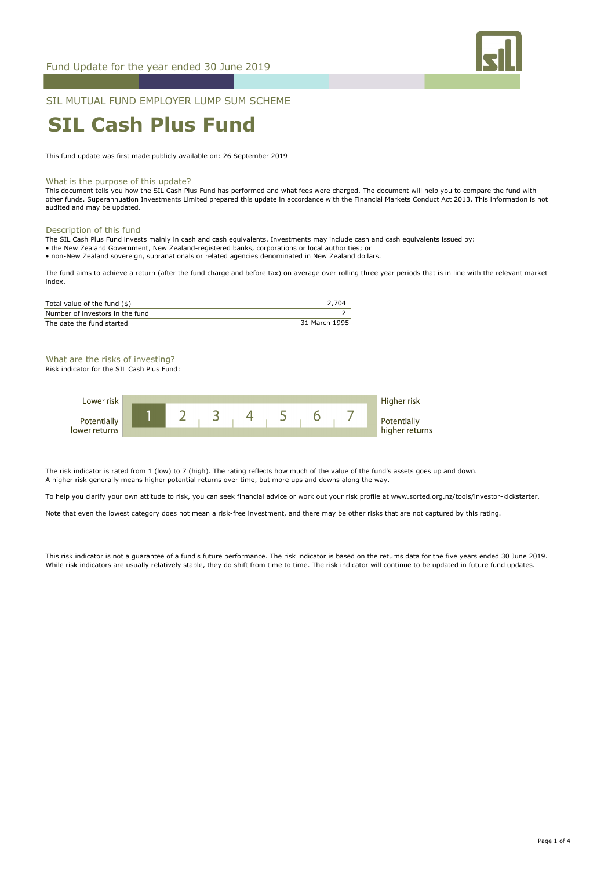

SIL MUTUAL FUND EMPLOYER LUMP SUM SCHEME

# **SIL Cash Plus Fund**

This fund update was first made publicly available on: 26 September 2019

#### What is the purpose of this update?

This document tells you how the SIL Cash Plus Fund has performed and what fees were charged. The document will help you to compare the fund with other funds. Superannuation Investments Limited prepared this update in accordance with the Financial Markets Conduct Act 2013. This information is not audited and may be updated.

#### Description of this fund

The SIL Cash Plus Fund invests mainly in cash and cash equivalents. Investments may include cash and cash equivalents issued by:

• the New Zealand Government, New Zealand-registered banks, corporations or local authorities; or

• non-New Zealand sovereign, supranationals or related agencies denominated in New Zealand dollars.

The fund aims to achieve a return (after the fund charge and before tax) on average over rolling three year periods that is in line with the relevant market index.

| Total value of the fund (\$)    | 2.704         |
|---------------------------------|---------------|
| Number of investors in the fund |               |
| The date the fund started       | 31 March 1995 |

## What are the risks of investing?

Risk indicator for the SIL Cash Plus Fund:



The risk indicator is rated from 1 (low) to 7 (high). The rating reflects how much of the value of the fund's assets goes up and down. A higher risk generally means higher potential returns over time, but more ups and downs along the way.

To help you clarify your own attitude to risk, you can seek financial advice or work out your risk profile at www.sorted.org.nz/tools/investor-kickstarter.

Note that even the lowest category does not mean a risk-free investment, and there may be other risks that are not captured by this rating.

This risk indicator is not a guarantee of a fund's future performance. The risk indicator is based on the returns data for the five years ended 30 June 2019. While risk indicators are usually relatively stable, they do shift from time to time. The risk indicator will continue to be updated in future fund updates.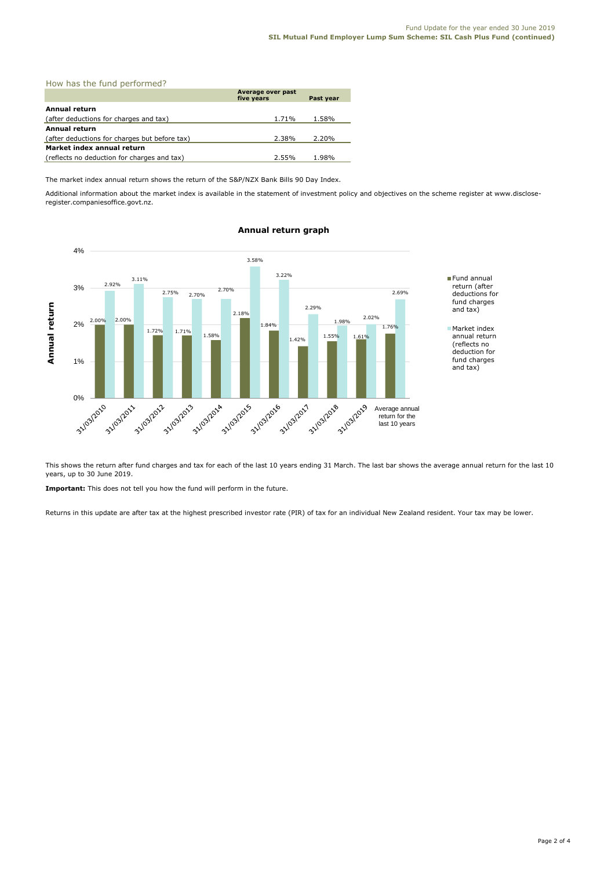| How has the fund performed?                   |                                 |           |  |  |
|-----------------------------------------------|---------------------------------|-----------|--|--|
|                                               | Average over past<br>five years | Past year |  |  |
| <b>Annual return</b>                          |                                 |           |  |  |
| (after deductions for charges and tax)        | 1.71%                           | 1.58%     |  |  |
| Annual return                                 |                                 |           |  |  |
| (after deductions for charges but before tax) | 2.38%                           | 2.20%     |  |  |
| Market index annual return                    |                                 |           |  |  |
| (reflects no deduction for charges and tax)   | 2.55%                           | 1.98%     |  |  |

The market index annual return shows the return of the S&P/NZX Bank Bills 90 Day Index.

Additional information about the market index is available in the statement of investment policy and objectives on the scheme register at www.discloseregister.companiesoffice.govt.nz.



# **Annual return graph**

This shows the return after fund charges and tax for each of the last 10 years ending 31 March. The last bar shows the average annual return for the last 10 years, up to 30 June 2019.

**Important:** This does not tell you how the fund will perform in the future.

Returns in this update are after tax at the highest prescribed investor rate (PIR) of tax for an individual New Zealand resident. Your tax may be lower.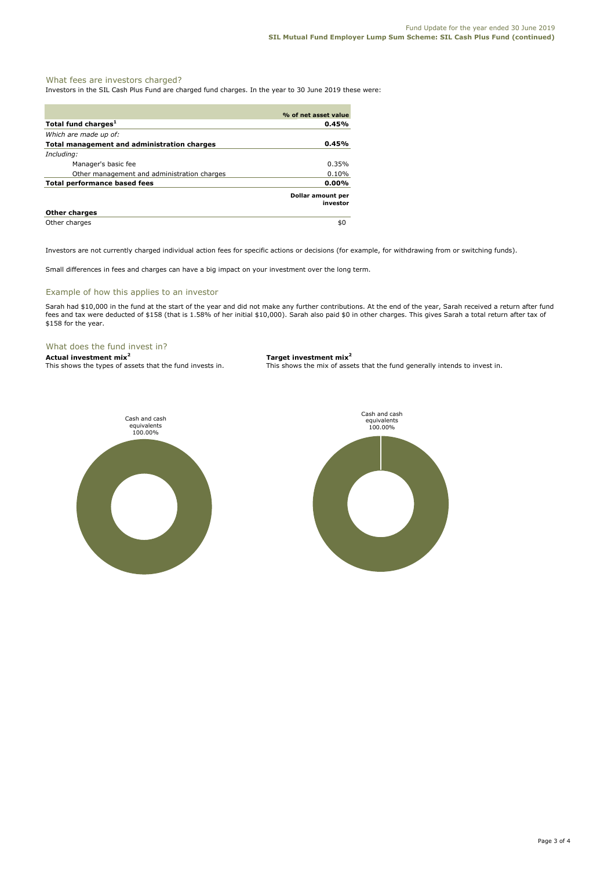### What fees are investors charged?

Investors in the SIL Cash Plus Fund are charged fund charges. In the year to 30 June 2019 these were:

|                                                    | % of net asset value          |
|----------------------------------------------------|-------------------------------|
| Total fund charges <sup>1</sup>                    | 0.45%                         |
| Which are made up of:                              |                               |
| <b>Total management and administration charges</b> | 0.45%                         |
| Including:                                         |                               |
| Manager's basic fee                                | 0.35%                         |
| Other management and administration charges        | 0.10%                         |
| <b>Total performance based fees</b>                | 0.00%                         |
|                                                    | Dollar amount per<br>investor |
| <b>Other charges</b>                               |                               |
| Other charges                                      | \$0                           |

Investors are not currently charged individual action fees for specific actions or decisions (for example, for withdrawing from or switching funds).

Small differences in fees and charges can have a big impact on your investment over the long term.

#### Example of how this applies to an investor

Sarah had \$10,000 in the fund at the start of the year and did not make any further contributions. At the end of the year, Sarah received a return after fund fees and tax were deducted of \$158 (that is 1.58% of her initial \$10,000). Sarah also paid \$0 in other charges. This gives Sarah a total return after tax of \$158 for the year.

#### What does the fund invest in?

**Actual investment mix<sup>2</sup> <b>Target investment mix**<sup>2</sup> This shows the types of assets that the fund invests in. This shows the mix of assets

This shows the mix of assets that the fund generally intends to invest in.